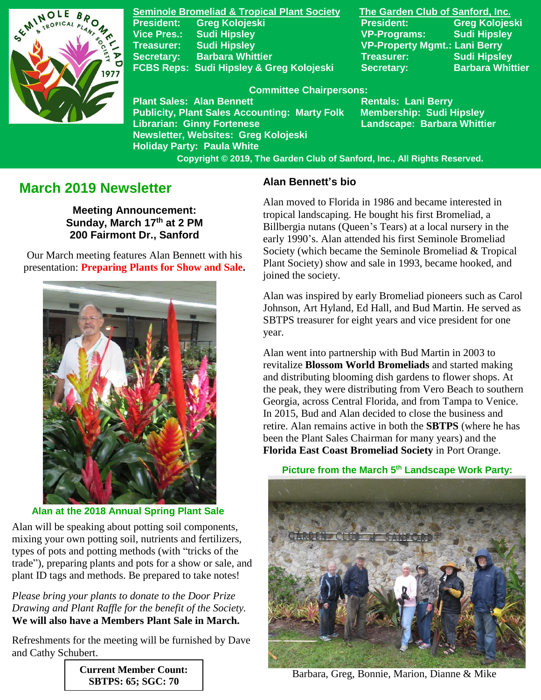

**Seminole Bromeliad & Tropical Plant Society The Garden Club of Sanford, Inc. President: Greg Kolojeski President: Greg Kolojeski Vice Pres.: Sudi Hipsley VP-Programs: Sudi Hipsley Treasurer: Sudi Hipsley VP-Property Mgmt.: Lani Berry Secretary:** Barbara Whittier **Network Treasurer:** Sudi Hipsley **FCBS Reps: Sudi Hipsley & Greg Kolojeski Secretary: Barbara Whittier** 

#### **Committee Chairpersons:**

**Plant Sales: Alan Bennett** Rentals: Lani Berry **Publicity, Plant Sales Accounting: Marty Folk Membership: Sudi Hipsley Librarian: Ginny Fortenese Landscape: Barbara Whittier Newsletter, Websites: Greg Kolojeski Holiday Party: Paula White** 

 **Copyright © 2019, The Garden Club of Sanford, Inc., All Rights Reserved.**

# **March 2019 Newsletter**

**Meeting Announcement: Sunday, March 17th at 2 PM 200 Fairmont Dr., Sanford**

 Our March meeting features Alan Bennett with his presentation: **Preparing Plants for Show and Sale.**



**Alan at the 2018 Annual Spring Plant Sale**

Alan will be speaking about potting soil components, mixing your own potting soil, nutrients and fertilizers, types of pots and potting methods (with "tricks of the trade"), preparing plants and pots for a show or sale, and plant ID tags and methods. Be prepared to take notes!

*Please bring your plants to donate to the Door Prize Drawing and Plant Raffle for the benefit of the Society.* **We will also have a Members Plant Sale in March.**

Refreshments for the meeting will be furnished by Dave and Cathy Schubert.

**SBTPS: 65; SGC: 70**

# **Current Member Count:**

# **Alan Bennett's bio**

Alan moved to Florida in 1986 and became interested in tropical landscaping. He bought his first Bromeliad, a Billbergia nutans (Queen's Tears) at a local nursery in the early 1990's. Alan attended his first Seminole Bromeliad Society (which became the Seminole Bromeliad & Tropical Plant Society) show and sale in 1993, became hooked, and joined the society.

Alan was inspired by early Bromeliad pioneers such as Carol Johnson, Art Hyland, Ed Hall, and Bud Martin. He served as SBTPS treasurer for eight years and vice president for one year.

Alan went into partnership with Bud Martin in 2003 to revitalize **Blossom World Bromeliads** and started making and distributing blooming dish gardens to flower shops. At the peak, they were distributing from Vero Beach to southern Georgia, across Central Florida, and from Tampa to Venice. In 2015, Bud and Alan decided to close the business and retire. Alan remains active in both the **SBTPS** (where he has been the Plant Sales Chairman for many years) and the **Florida East Coast Bromeliad Society** in Port Orange.

## **Picture from the March 5th Landscape Work Party:**



Barbara, Greg, Bonnie, Marion, Dianne & Mike